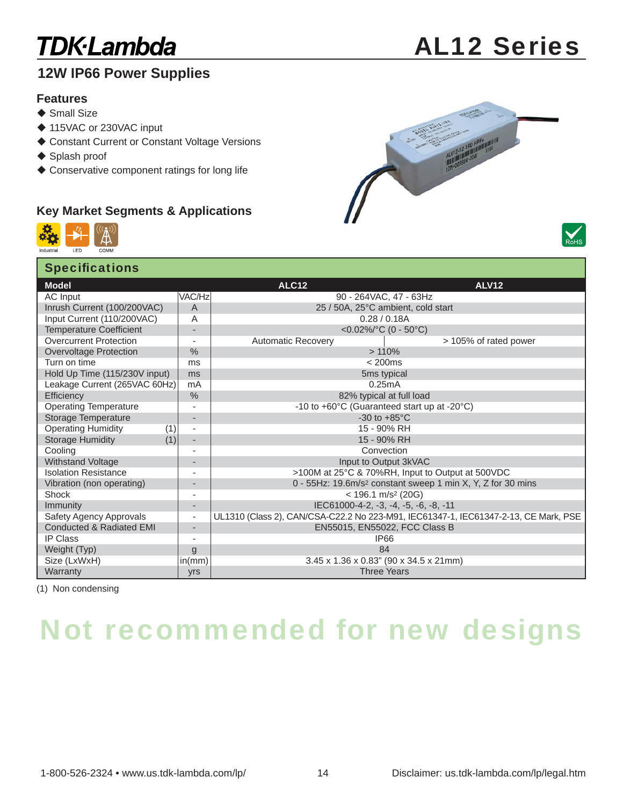### **TDK**·Lambda

#### **12W IP66 Power Supplies**

#### **Features**

- $\triangle$  Small Size
- ◆ 115VAC or 230VAC input
- ◆ Constant Current or Constant Voltage Versions
- ◆ Splash proof
- Conservative component ratings for long life

#### **Key Market Segments & Applications**





| <b>Specifications</b>               |                          |                                                                                     |              |  |  |  |  |
|-------------------------------------|--------------------------|-------------------------------------------------------------------------------------|--------------|--|--|--|--|
| <b>Model</b>                        |                          | <b>ALC12</b>                                                                        | <b>ALV12</b> |  |  |  |  |
| AC Input                            | VAC/Hz                   | 90 - 264VAC, 47 - 63Hz                                                              |              |  |  |  |  |
| Inrush Current (100/200VAC)         | A                        | 25 / 50A, 25°C ambient, cold start                                                  |              |  |  |  |  |
| Input Current (110/200VAC)          | Α                        | 0.28 / 0.18A                                                                        |              |  |  |  |  |
| <b>Temperature Coefficient</b>      | -                        | <0.02%/°C (0 - 50°C)                                                                |              |  |  |  |  |
| Overcurrent Protection              | $\sim$                   | <b>Automatic Recovery</b><br>> 105% of rated power                                  |              |  |  |  |  |
| Overvoltage Protection              | $\frac{0}{0}$            | >110%                                                                               |              |  |  |  |  |
| Turn on time                        | ms                       | < 200ms                                                                             |              |  |  |  |  |
| Hold Up Time (115/230V input)       | ms                       | 5ms typical                                                                         |              |  |  |  |  |
| Leakage Current (265VAC 60Hz)       | mA                       | 0.25mA                                                                              |              |  |  |  |  |
| Efficiency                          | $\%$                     | 82% typical at full load                                                            |              |  |  |  |  |
| <b>Operating Temperature</b>        | $\overline{\phantom{a}}$ | -10 to +60°C (Guaranteed start up at -20°C)                                         |              |  |  |  |  |
| <b>Storage Temperature</b>          | -                        | -30 to $+85^{\circ}$ C                                                              |              |  |  |  |  |
| <b>Operating Humidity</b><br>(1)    | $\overline{\phantom{a}}$ | 15 - 90% RH                                                                         |              |  |  |  |  |
| <b>Storage Humidity</b><br>(1)      | ٠                        | 15 - 90% RH                                                                         |              |  |  |  |  |
| Cooling                             | $\overline{\phantom{a}}$ | Convection                                                                          |              |  |  |  |  |
| Withstand Voltage                   | $\overline{\phantom{a}}$ | Input to Output 3kVAC                                                               |              |  |  |  |  |
| <b>Isolation Resistance</b>         | ٠                        | >100M at 25°C & 70%RH, Input to Output at 500VDC                                    |              |  |  |  |  |
| Vibration (non operating)           | ٠                        | 0 - 55Hz: 19.6m/s <sup>2</sup> constant sweep 1 min X, Y, Z for 30 mins             |              |  |  |  |  |
| Shock                               | $\overline{\phantom{a}}$ | $<$ 196.1 m/s <sup>2</sup> (20G)                                                    |              |  |  |  |  |
| <b>Immunity</b>                     | ٠                        | IEC61000-4-2, -3, -4, -5, -6, -8, -11                                               |              |  |  |  |  |
| Safety Agency Approvals             | $\overline{\phantom{a}}$ | UL1310 (Class 2), CAN/CSA-C22.2 No 223-M91, IEC61347-1, IEC61347-2-13, CE Mark, PSE |              |  |  |  |  |
| <b>Conducted &amp; Radiated EMI</b> | ٠                        | EN55015, EN55022, FCC Class B                                                       |              |  |  |  |  |
| IP Class                            | ٠                        | <b>IP66</b>                                                                         |              |  |  |  |  |
| Weight (Typ)                        | g                        | 84                                                                                  |              |  |  |  |  |
| Size (LxWxH)                        | in(mm)                   | 3.45 x 1.36 x 0.83" (90 x 34.5 x 21mm)                                              |              |  |  |  |  |
| Warranty                            | <b>yrs</b>               | <b>Three Years</b>                                                                  |              |  |  |  |  |

(1) Non condensing

# Not recommended for new designs

## AL12 Series